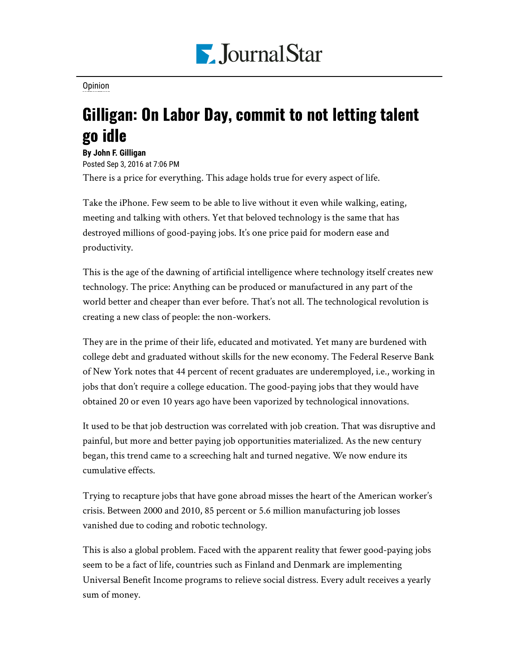

[Opinion](https://www.pjstar.com/search?text=Opinion)

## Gilligan: On Labor Day, commit to not letting talent go idle

**By John F. Gilligan** Posted Sep 3, 2016 at 7:06 PM There is a price for everything. This adage holds true for every aspect of life.

Take the iPhone. Few seem to be able to live without it even while walking, eating, meeting and talking with others. Yet that beloved technology is the same that has destroyed millions of good-paying jobs. It's one price paid for modern ease and productivity.

This is the age of the dawning of artificial intelligence where technology itself creates new technology. The price: Anything can be produced or manufactured in any part of the world better and cheaper than ever before. That's not all. The technological revolution is creating a new class of people: the non-workers.

They are in the prime of their life, educated and motivated. Yet many are burdened with college debt and graduated without skills for the new economy. The Federal Reserve Bank of New York notes that 44 percent of recent graduates are underemployed, i.e., working in jobs that don't require a college education. The good-paying jobs that they would have obtained 20 or even 10 years ago have been vaporized by technological innovations.

It used to be that job destruction was correlated with job creation. That was disruptive and painful, but more and better paying job opportunities materialized. As the new century began, this trend came to a screeching halt and turned negative. We now endure its cumulative effects.

Trying to recapture jobs that have gone abroad misses the heart of the American worker's crisis. Between 2000 and 2010, 85 percent or 5.6 million manufacturing job losses vanished due to coding and robotic technology.

This is also a global problem. Faced with the apparent reality that fewer good-paying jobs seem to be a fact of life, countries such as Finland and Denmark are implementing Universal Benefit Income programs to relieve social distress. Every adult receives a yearly sum of money.